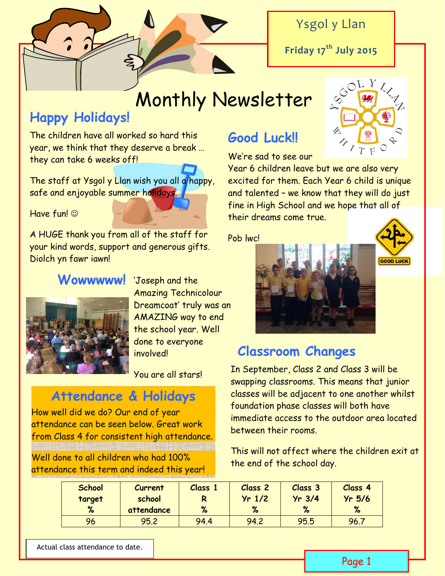# Ysgol y Llan

**Friday 17th July 2015**

# Monthly Newsletter

# **Happy Holidays!**

The children have all worked so hard this year, we think that they deserve a break … they can take 6 weeks off!

The staff at Ysgol y Llan wish you all a happy, safe and enjoyable summer holidays.

Have fun! ©

A HUGE thank you from all of the staff for your kind words, support and generous gifts. Diolch yn fawr iawn!

### **Wowwwww!** 'Joseph and the



Amazing Technicolour Dreamcoat' truly was an AMAZING way to end the school year. Well done to everyone **involved!** 

You are all stars!

# **Attendance & Holidays**

How well did we do? Our end of year attendance can be seen below. Great work from Class 4 for consistent high attendance.

Well done to all children who had 100% attendance this term and indeed this year!

# **Good Luck!!**

We're sad to see our

Year 6 children leave but we are also very excited for them. Each Year 6 child is unique and talented – we know that they will do just fine in High School and we hope that all of their dreams come true.

Pob lwc!





## **Classroom Changes**

In September, Class 2 and Class 3 will be swapping classrooms. This means that junior classes will be adjacent to one another whilst foundation phase classes will both have immediate access to the outdoor area located between their rooms.

This will not affect where the children exit at the end of the school day.

| <b>School</b><br>target | Current<br>school | Class 1<br>R | <b>Class 2</b><br>$Yr$ 1/2 | Class 3<br>$Yr$ 3/4 | Class <sub>4</sub><br>$Yr$ 5/6 |
|-------------------------|-------------------|--------------|----------------------------|---------------------|--------------------------------|
| %                       | attendance        | %            | %                          | %                   | %                              |
| 96                      | 95.2              | 94.4         | 94.2                       | 95.5                | 96.7                           |

Actual class attendance to date.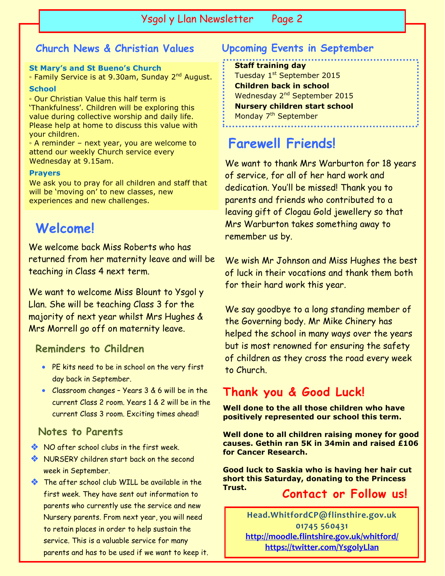Ysgol y Llan Newsletter Page 2

### **Church News & Christian Values**

#### **St Mary's and St Bueno's Church**

∘ Family Service is at 9.30am, Sunday 2<sup>nd</sup> August.

**School**

◦ Our Christian Value this half term is 'Thankfulness'. Children will be exploring this value during collective worship and daily life. Please help at home to discuss this value with your children.

◦ A reminder – next year, you are welcome to attend our weekly Church service every Wednesday at 9.15am.

#### **Prayers**

We ask you to pray for all children and staff that will be 'moving on' to new classes, new experiences and new challenges.

# **Welcome!**

We welcome back Miss Roberts who has returned from her maternity leave and will be teaching in Class 4 next term.

We want to welcome Miss Blount to Ysgol y Llan. She will be teaching Class 3 for the majority of next year whilst Mrs Hughes & Mrs Morrell go off on maternity leave.

#### **Reminders to Children**

- PE kits need to be in school on the very first day back in September.
- Classroom changes Years 3 & 6 will be in the current Class 2 room. Years 1 & 2 will be in the current Class 3 room. Exciting times ahead!

#### **Notes to Parents**

- NO after school clubs in the first week.
- NURSERY children start back on the second week in September.
- The after school club WILL be available in the first week. They have sent out information to parents who currently use the service and new Nursery parents. From next year, you will need to retain places in order to help sustain the service. This is a valuable service for many parents and has to be used if we want to keep it.

### **Upcoming Events in September**

**Staff training day** Tuesday 1<sup>st</sup> September 2015 **Children back in school** Wednesday 2<sup>nd</sup> September 2015 **Nursery children start school** Monday 7<sup>th</sup> September

## **Farewell Friends!**

We want to thank Mrs Warburton for 18 years of service, for all of her hard work and dedication. You'll be missed! Thank you to parents and friends who contributed to a leaving gift of Clogau Gold jewellery so that Mrs Warburton takes something away to remember us by.

We wish Mr Johnson and Miss Hughes the best of luck in their vocations and thank them both for their hard work this year.

We say goodbye to a long standing member of the Governing body. Mr Mike Chinery has helped the school in many ways over the years but is most renowned for ensuring the safety of children as they cross the road every week to Church.

### **Thank you & Good Luck!**

**Well done to the all those children who have positively represented our school this term.**

**Well done to all children raising money for good causes. Gethin ran 5K in 34min and raised £106 for Cancer Research.**

**Good luck to Saskia who is having her hair cut short this Saturday, donating to the Princess Trust. Contact or Follow us!**

> **Head.WhitfordCP@flinsthire.gov.uk 01745 560431 <http://moodle.flintshire.gov.uk/whitford/> <https://twitter.com/YsgolyLlan>**